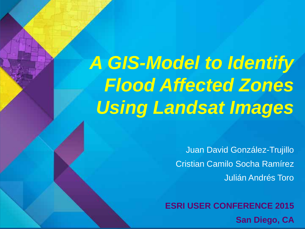*A GIS-Model to Identify Flood Affected Zones Using Landsat Images*

> Juan David González-Trujillo Cristian Camilo Socha Ramírez Julián Andrés Toro

**ESRI USER CONFERENCE 2015 San Diego, CA**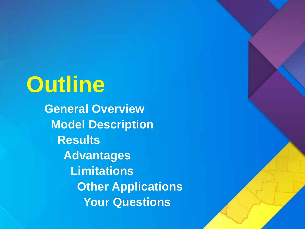## **Outline**

**General Overview Model Description Results Advantages Limitations Other Applications Your Questions**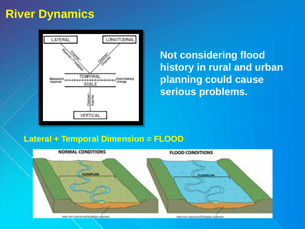#### **River Dynamics**



**Not considering flood history in rural and urban planning could cause serious problems.**

#### **Lateral + Temporal Dimension = FLOOD**

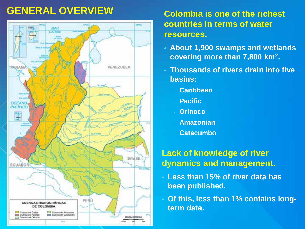#### **GENERAL OVERVIEW Colombia is one of the richest**



## **countries in terms of water resources.**

- **About 1,900 swamps and wetlands covering more than 7,800 km2.**
- **Thousands of rivers drain into five basins:**
	- **Caribbean**
	- **Pacific**
	- **Orinoco**
	- **Amazonian**
	- **Catacumbo**

#### **Lack of knowledge of river dynamics and management.**

- **Less than 15% of river data has been published.**
- **Of this, less than 1% contains longterm data.**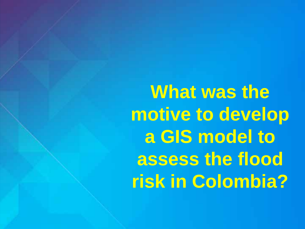**What was the motive to develop a GIS model to assess the flood risk in Colombia?**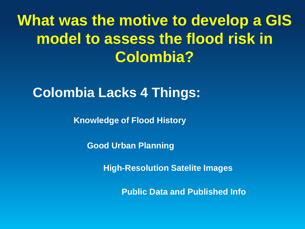**What was the motive to develop a GIS model to assess the flood risk in Colombia?**

**Colombia Lacks 4 Things:**

**Knowledge of Flood History**

**Good Urban Planning**

**High-Resolution Satelite Images**

**Public Data and Published Info**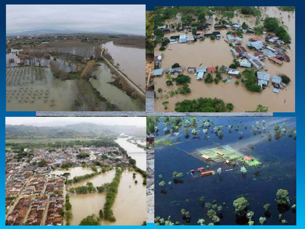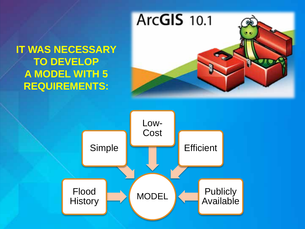

#### **IT WAS NECESSARY TO DEVELOP A MODEL WITH 5 REQUIREMENTS:**

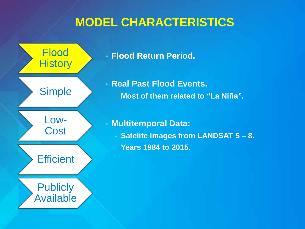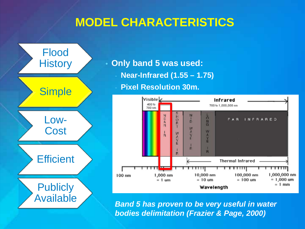

*Band 5 has proven to be very useful in water bodies delimitation (Frazier & Page, 2000)*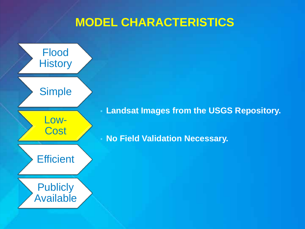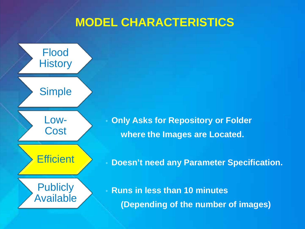

• **Only Asks for Repository or Folder where the Images are Located.** 

• **Doesn't need any Parameter Specification.**

• **Runs in less than 10 minutes (Depending of the number of images)**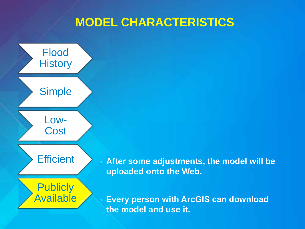

• **After some adjustments, the model will be uploaded onto the Web.** 

• **Every person with ArcGIS can download the model and use it.**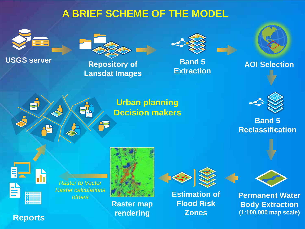#### **A BRIEF SCHEME OF THE MODEL**







**Band 5 Extraction**



**AOI Selection**





**Band 5 Reclassification**



*Raster to Vector Raster calculations others*



**Raster map rendering Reports Cones Reports Cones** 



**Estimation of Flood Risk**



**Permanent Water Body Extraction (1:100,000 map scale)**

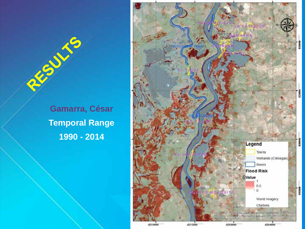**Gamarra, César Temporal Range 1990 - 2014**

**RESISTENCE** 

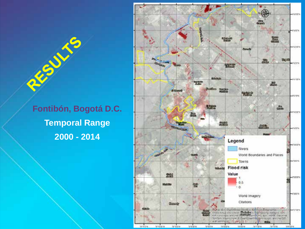**RESILED Fontibón, Bogotá D.C. Temporal Range 2000 - 2014**

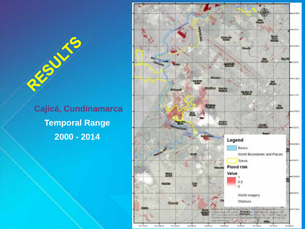**Cajicá, Cundinamarca Temporal Range 2000 - 2014**

**RESILED** 

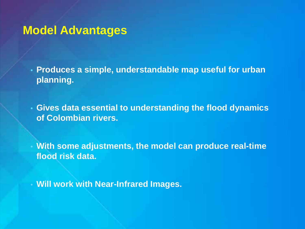#### **Model Advantages**

• **Produces a simple, understandable map useful for urban planning.**

• **Gives data essential to understanding the flood dynamics of Colombian rivers.** 

• **With some adjustments, the model can produce real-time flood risk data.**

• **Will work with Near-Infrared Images.**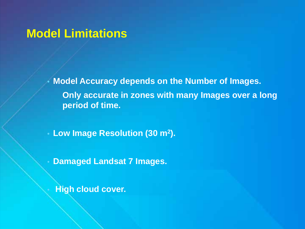#### **Model Limitations**

• **Model Accuracy depends on the Number of Images. Only accurate in zones with many Images over a long period of time.**

• **Low Image Resolution (30 m2).**

• **Damaged Landsat 7 Images.**

• **High cloud cover.**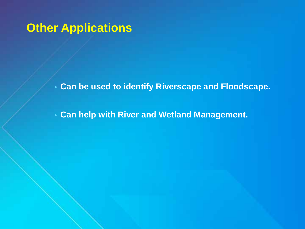#### **Other Applications**

• **Can be used to identify Riverscape and Floodscape.**

• **Can help with River and Wetland Management.**